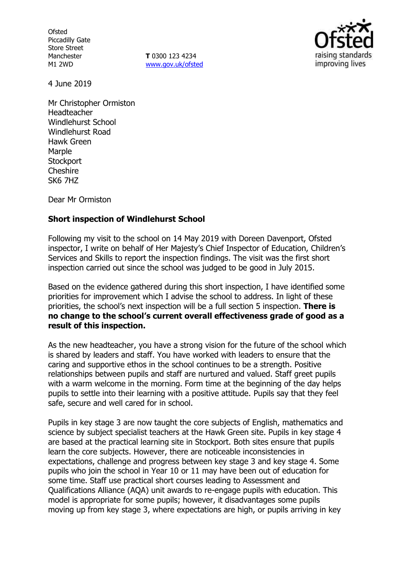**Ofsted** Piccadilly Gate Store Street Manchester M1 2WD

**T** 0300 123 4234 www.gov.uk/ofsted



4 June 2019

Mr Christopher Ormiston Headteacher Windlehurst School Windlehurst Road Hawk Green Marple **Stockport Cheshire** SK6 7HZ

Dear Mr Ormiston

# **Short inspection of Windlehurst School**

Following my visit to the school on 14 May 2019 with Doreen Davenport, Ofsted inspector, I write on behalf of Her Majesty's Chief Inspector of Education, Children's Services and Skills to report the inspection findings. The visit was the first short inspection carried out since the school was judged to be good in July 2015.

Based on the evidence gathered during this short inspection, I have identified some priorities for improvement which I advise the school to address. In light of these priorities, the school's next inspection will be a full section 5 inspection. **There is no change to the school's current overall effectiveness grade of good as a result of this inspection.**

As the new headteacher, you have a strong vision for the future of the school which is shared by leaders and staff. You have worked with leaders to ensure that the caring and supportive ethos in the school continues to be a strength. Positive relationships between pupils and staff are nurtured and valued. Staff greet pupils with a warm welcome in the morning. Form time at the beginning of the day helps pupils to settle into their learning with a positive attitude. Pupils say that they feel safe, secure and well cared for in school.

Pupils in key stage 3 are now taught the core subjects of English, mathematics and science by subject specialist teachers at the Hawk Green site. Pupils in key stage 4 are based at the practical learning site in Stockport. Both sites ensure that pupils learn the core subjects. However, there are noticeable inconsistencies in expectations, challenge and progress between key stage 3 and key stage 4. Some pupils who join the school in Year 10 or 11 may have been out of education for some time. Staff use practical short courses leading to Assessment and Qualifications Alliance (AQA) unit awards to re-engage pupils with education. This model is appropriate for some pupils; however, it disadvantages some pupils moving up from key stage 3, where expectations are high, or pupils arriving in key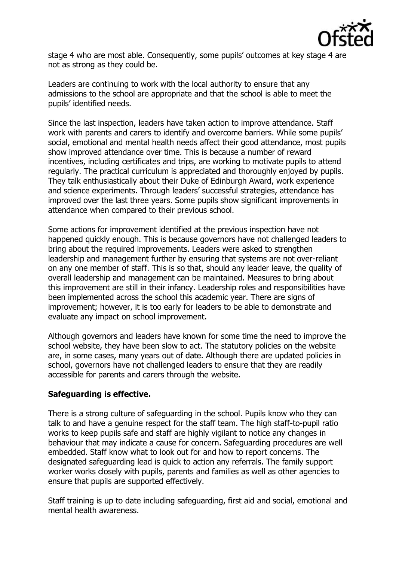

stage 4 who are most able. Consequently, some pupils' outcomes at key stage 4 are not as strong as they could be.

Leaders are continuing to work with the local authority to ensure that any admissions to the school are appropriate and that the school is able to meet the pupils' identified needs.

Since the last inspection, leaders have taken action to improve attendance. Staff work with parents and carers to identify and overcome barriers. While some pupils' social, emotional and mental health needs affect their good attendance, most pupils show improved attendance over time. This is because a number of reward incentives, including certificates and trips, are working to motivate pupils to attend regularly. The practical curriculum is appreciated and thoroughly enjoyed by pupils. They talk enthusiastically about their Duke of Edinburgh Award, work experience and science experiments. Through leaders' successful strategies, attendance has improved over the last three years. Some pupils show significant improvements in attendance when compared to their previous school.

Some actions for improvement identified at the previous inspection have not happened quickly enough. This is because governors have not challenged leaders to bring about the required improvements. Leaders were asked to strengthen leadership and management further by ensuring that systems are not over-reliant on any one member of staff. This is so that, should any leader leave, the quality of overall leadership and management can be maintained. Measures to bring about this improvement are still in their infancy. Leadership roles and responsibilities have been implemented across the school this academic year. There are signs of improvement; however, it is too early for leaders to be able to demonstrate and evaluate any impact on school improvement.

Although governors and leaders have known for some time the need to improve the school website, they have been slow to act. The statutory policies on the website are, in some cases, many years out of date. Although there are updated policies in school, governors have not challenged leaders to ensure that they are readily accessible for parents and carers through the website.

# **Safeguarding is effective.**

There is a strong culture of safeguarding in the school. Pupils know who they can talk to and have a genuine respect for the staff team. The high staff-to-pupil ratio works to keep pupils safe and staff are highly vigilant to notice any changes in behaviour that may indicate a cause for concern. Safeguarding procedures are well embedded. Staff know what to look out for and how to report concerns. The designated safeguarding lead is quick to action any referrals. The family support worker works closely with pupils, parents and families as well as other agencies to ensure that pupils are supported effectively.

Staff training is up to date including safeguarding, first aid and social, emotional and mental health awareness.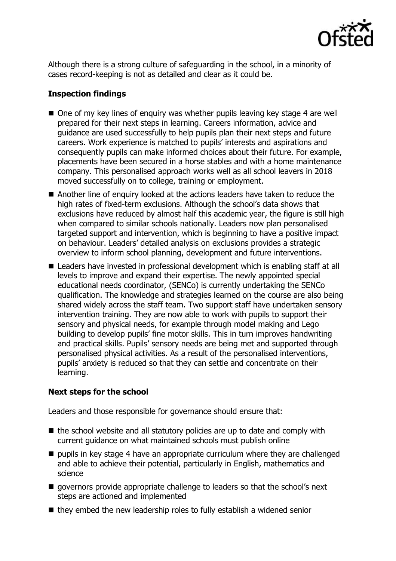

Although there is a strong culture of safeguarding in the school, in a minority of cases record-keeping is not as detailed and clear as it could be.

# **Inspection findings**

- $\blacksquare$  One of my key lines of enquiry was whether pupils leaving key stage 4 are well prepared for their next steps in learning. Careers information, advice and guidance are used successfully to help pupils plan their next steps and future careers. Work experience is matched to pupils' interests and aspirations and consequently pupils can make informed choices about their future. For example, placements have been secured in a horse stables and with a home maintenance company. This personalised approach works well as all school leavers in 2018 moved successfully on to college, training or employment.
- Another line of enguiry looked at the actions leaders have taken to reduce the high rates of fixed-term exclusions. Although the school's data shows that exclusions have reduced by almost half this academic year, the figure is still high when compared to similar schools nationally. Leaders now plan personalised targeted support and intervention, which is beginning to have a positive impact on behaviour. Leaders' detailed analysis on exclusions provides a strategic overview to inform school planning, development and future interventions.
- Leaders have invested in professional development which is enabling staff at all levels to improve and expand their expertise. The newly appointed special educational needs coordinator, (SENCo) is currently undertaking the SENCo qualification. The knowledge and strategies learned on the course are also being shared widely across the staff team. Two support staff have undertaken sensory intervention training. They are now able to work with pupils to support their sensory and physical needs, for example through model making and Lego building to develop pupils' fine motor skills. This in turn improves handwriting and practical skills. Pupils' sensory needs are being met and supported through personalised physical activities. As a result of the personalised interventions, pupils' anxiety is reduced so that they can settle and concentrate on their learning.

# **Next steps for the school**

Leaders and those responsible for governance should ensure that:

- $\blacksquare$  the school website and all statutory policies are up to date and comply with current guidance on what maintained schools must publish online
- $\blacksquare$  pupils in key stage 4 have an appropriate curriculum where they are challenged and able to achieve their potential, particularly in English, mathematics and science
- governors provide appropriate challenge to leaders so that the school's next steps are actioned and implemented
- $\blacksquare$  they embed the new leadership roles to fully establish a widened senior